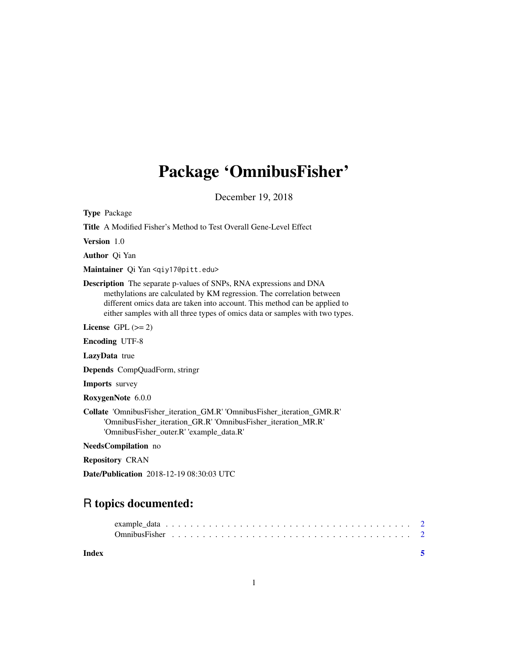## Package 'OmnibusFisher'

December 19, 2018

Type Package

Title A Modified Fisher's Method to Test Overall Gene-Level Effect

Version 1.0

Author Qi Yan

Maintainer Qi Yan <qiy17@pitt.edu>

Description The separate p-values of SNPs, RNA expressions and DNA methylations are calculated by KM regression. The correlation between different omics data are taken into account. This method can be applied to either samples with all three types of omics data or samples with two types.

License GPL  $(>= 2)$ 

Encoding UTF-8

LazyData true

Depends CompQuadForm, stringr

Imports survey

RoxygenNote 6.0.0

Collate 'OmnibusFisher\_iteration\_GM.R' 'OmnibusFisher\_iteration\_GMR.R' 'OmnibusFisher\_iteration\_GR.R' 'OmnibusFisher\_iteration\_MR.R' 'OmnibusFisher\_outer.R' 'example\_data.R'

NeedsCompilation no

Repository CRAN

Date/Publication 2018-12-19 08:30:03 UTC

### R topics documented:

| Index |  |  |  |  |  |  |  |  |  |  |  |  |  |  |  |  |  |
|-------|--|--|--|--|--|--|--|--|--|--|--|--|--|--|--|--|--|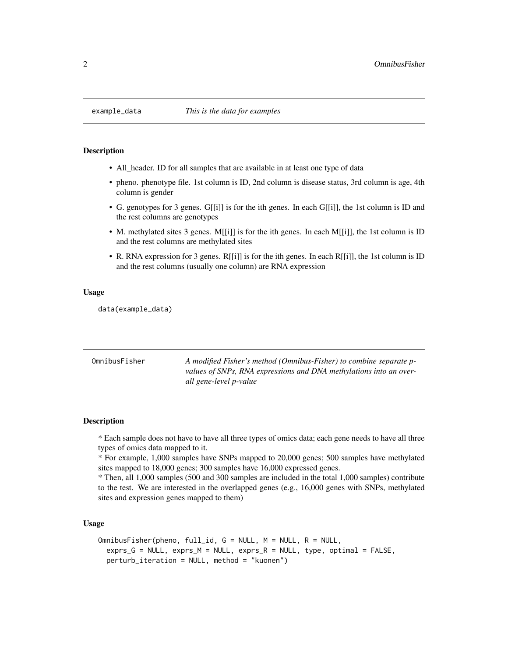#### <span id="page-1-0"></span>Description

- All\_header. ID for all samples that are available in at least one type of data
- pheno. phenotype file. 1st column is ID, 2nd column is disease status, 3rd column is age, 4th column is gender
- G. genotypes for 3 genes. G[[i]] is for the ith genes. In each G[[i]], the 1st column is ID and the rest columns are genotypes
- M. methylated sites 3 genes. M[[i]] is for the ith genes. In each M[[i]], the 1st column is ID and the rest columns are methylated sites
- R. RNA expression for 3 genes. R[[i]] is for the ith genes. In each R[[i]], the 1st column is ID and the rest columns (usually one column) are RNA expression

#### Usage

data(example\_data)

| OmnibusFisher | A modified Fisher's method (Omnibus-Fisher) to combine separate p- |
|---------------|--------------------------------------------------------------------|
|               | values of SNPs, RNA expressions and DNA methylations into an over- |
|               | all gene-level p-value                                             |

#### **Description**

\* Each sample does not have to have all three types of omics data; each gene needs to have all three types of omics data mapped to it.

\* For example, 1,000 samples have SNPs mapped to 20,000 genes; 500 samples have methylated sites mapped to 18,000 genes; 300 samples have 16,000 expressed genes.

\* Then, all 1,000 samples (500 and 300 samples are included in the total 1,000 samples) contribute to the test. We are interested in the overlapped genes (e.g., 16,000 genes with SNPs, methylated sites and expression genes mapped to them)

#### Usage

```
OmnibusFisher(pheno, full_id, G = NULL, M = NULL, R = NULL,exprs_G = NULL, exprs_M = NULL, exprs_R = NULL, type, optimal = FALSE,
 perturb_iteration = NULL, method = "kuonen")
```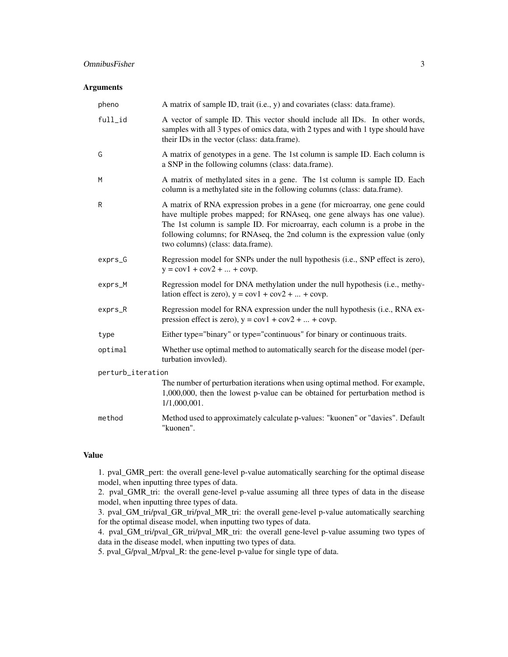#### OmnibusFisher 3

#### Arguments

| A matrix of sample ID, trait (i.e., y) and covariates (class: data.frame).                                                                                                                                                                                                                                                                                |
|-----------------------------------------------------------------------------------------------------------------------------------------------------------------------------------------------------------------------------------------------------------------------------------------------------------------------------------------------------------|
| A vector of sample ID. This vector should include all IDs. In other words,<br>samples with all 3 types of omics data, with 2 types and with 1 type should have<br>their IDs in the vector (class: data.frame).                                                                                                                                            |
| A matrix of genotypes in a gene. The 1st column is sample ID. Each column is<br>a SNP in the following columns (class: data.frame).                                                                                                                                                                                                                       |
| A matrix of methylated sites in a gene. The 1st column is sample ID. Each<br>column is a methylated site in the following columns (class: data.frame).                                                                                                                                                                                                    |
| A matrix of RNA expression probes in a gene (for microarray, one gene could<br>have multiple probes mapped; for RNAseq, one gene always has one value).<br>The 1st column is sample ID. For microarray, each column is a probe in the<br>following columns; for RNAseq, the 2nd column is the expression value (only<br>two columns) (class: data.frame). |
| Regression model for SNPs under the null hypothesis (i.e., SNP effect is zero),<br>$y = cov1 + cov2 +  + covp.$                                                                                                                                                                                                                                           |
| Regression model for DNA methylation under the null hypothesis (i.e., methy-<br>lation effect is zero), $y = cov1 + cov2 +  + covp$ .                                                                                                                                                                                                                     |
| Regression model for RNA expression under the null hypothesis (i.e., RNA ex-<br>pression effect is zero), $y = cov1 + cov2 +  + covp$ .                                                                                                                                                                                                                   |
| Either type="binary" or type="continuous" for binary or continuous traits.                                                                                                                                                                                                                                                                                |
| Whether use optimal method to automatically search for the disease model (per-<br>turbation invovled).                                                                                                                                                                                                                                                    |
| perturb_iteration                                                                                                                                                                                                                                                                                                                                         |
| The number of perturbation iterations when using optimal method. For example,<br>1,000,000, then the lowest p-value can be obtained for perturbation method is<br>1/1,000,001.                                                                                                                                                                            |
| Method used to approximately calculate p-values: "kuonen" or "davies". Default<br>"kuonen".                                                                                                                                                                                                                                                               |
|                                                                                                                                                                                                                                                                                                                                                           |

#### Value

1. pval\_GMR\_pert: the overall gene-level p-value automatically searching for the optimal disease model, when inputting three types of data.

2. pval\_GMR\_tri: the overall gene-level p-value assuming all three types of data in the disease model, when inputting three types of data.

3. pval\_GM\_tri/pval\_GR\_tri/pval\_MR\_tri: the overall gene-level p-value automatically searching for the optimal disease model, when inputting two types of data.

4. pval\_GM\_tri/pval\_GR\_tri/pval\_MR\_tri: the overall gene-level p-value assuming two types of data in the disease model, when inputting two types of data.

5. pval\_G/pval\_M/pval\_R: the gene-level p-value for single type of data.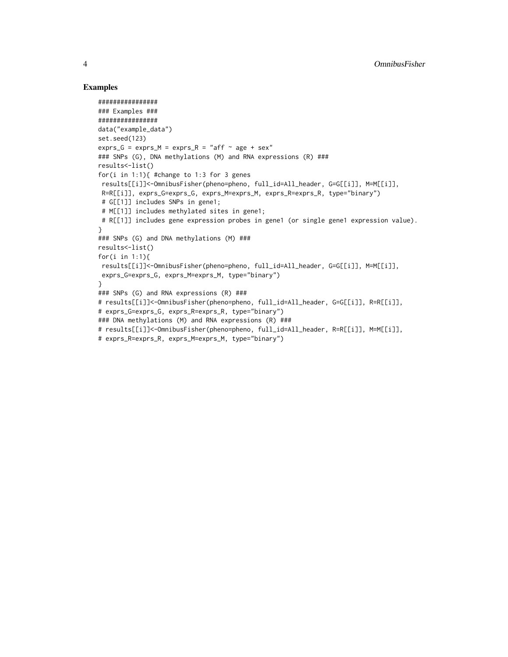#### Examples

```
################
### Examples ###
################
data("example_data")
set.seed(123)
exprs_G = exprs_M = exprs_R = "aff ~ age + sex"### SNPs (G), DNA methylations (M) and RNA expressions (R) ###
results<-list()
for(i in 1:1){ #change to 1:3 for 3 genes
 results[[i]]<-OmnibusFisher(pheno=pheno, full_id=All_header, G=G[[i]], M=M[[i]],
 R=R[[i]], exprs_G=exprs_G, exprs_M=exprs_M, exprs_R=exprs_R, type="binary")
 # G[[1]] includes SNPs in gene1;
 # M[[1]] includes methylated sites in gene1;
 # R[[1]] includes gene expression probes in gene1 (or single gene1 expression value).
}
### SNPs (G) and DNA methylations (M) ###
results<-list()
for(i in 1:1){
results[[i]]<-OmnibusFisher(pheno=pheno, full_id=All_header, G=G[[i]], M=M[[i]],
 exprs_G=exprs_G, exprs_M=exprs_M, type="binary")
}
### SNPs (G) and RNA expressions (R) ###
# results[[i]]<-OmnibusFisher(pheno=pheno, full_id=All_header, G=G[[i]], R=R[[i]],
# exprs_G=exprs_G, exprs_R=exprs_R, type="binary")
### DNA methylations (M) and RNA expressions (R) ###
# results[[i]]<-OmnibusFisher(pheno=pheno, full_id=All_header, R=R[[i]], M=M[[i]],
# exprs_R=exprs_R, exprs_M=exprs_M, type="binary")
```